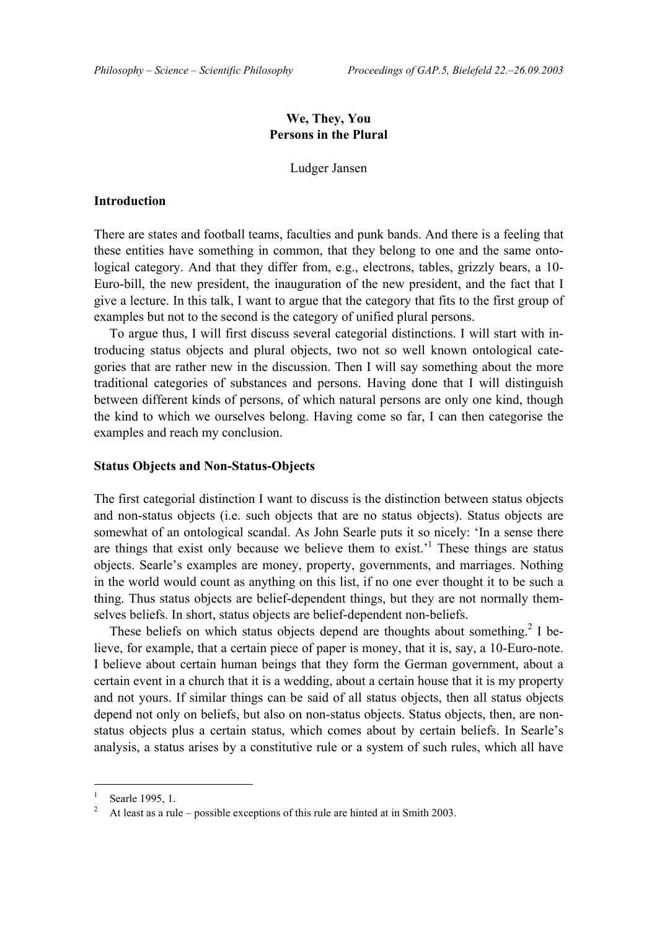# **We, They, You Persons in the Plural**

Ludger Jansen

## **Introduction**

There are states and football teams, faculties and punk bands. And there is a feeling that these entities have something in common, that they belong to one and the same ontological category. And that they differ from, e.g., electrons, tables, grizzly bears, a 10- Euro-bill, the new president, the inauguration of the new president, and the fact that I give a lecture. In this talk, I want to argue that the category that fits to the first group of examples but not to the second is the category of unified plural persons.

To argue thus, I will first discuss several categorial distinctions. I will start with introducing status objects and plural objects, two not so well known ontological categories that are rather new in the discussion. Then I will say something about the more traditional categories of substances and persons. Having done that I will distinguish between different kinds of persons, of which natural persons are only one kind, though the kind to which we ourselves belong. Having come so far, I can then categorise the examples and reach my conclusion.

## **Status Objects and Non-Status-Objects**

The first categorial distinction I want to discuss is the distinction between status objects and non-status objects (i.e. such objects that are no status objects). Status objects are somewhat of an ontological scandal. As John Searle puts it so nicely: 'In a sense there are things that exist only because we believe them to exist.<sup> $1$ </sup> These things are status objects. Searle's examples are money, property, governments, and marriages. Nothing in the world would count as anything on this list, if no one ever thought it to be such a thing. Thus status objects are belief-dependent things, but they are not normally themselves beliefs. In short, status objects are belief-dependent non-beliefs.

These beliefs on which status objects depend are thoughts about something.<sup>2</sup> I believe, for example, that a certain piece of paper is money, that it is, say, a 10-Euro-note. I believe about certain human beings that they form the German government, about a certain event in a church that it is a wedding, about a certain house that it is my property and not yours. If similar things can be said of all status objects, then all status objects depend not only on beliefs, but also on non-status objects. Status objects, then, are nonstatus objects plus a certain status, which comes about by certain beliefs. In Searle's analysis, a status arises by a constitutive rule or a system of such rules, which all have

<sup>1</sup> Searle 1995, 1.

<sup>2</sup> At least as a rule  $-$  possible exceptions of this rule are hinted at in Smith 2003.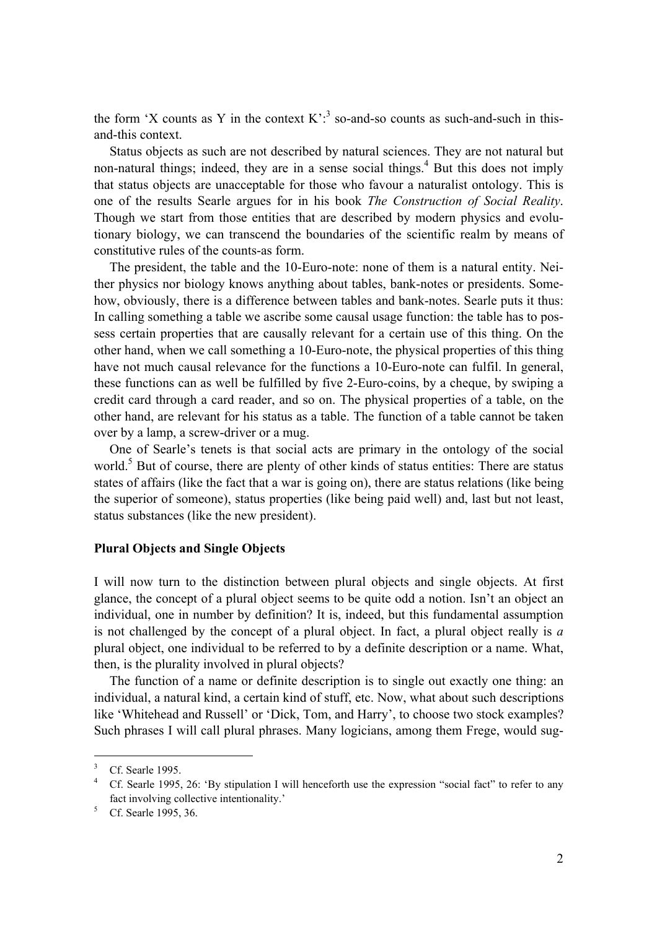the form 'X counts as Y in the context  $K^2$ : so-and-so counts as such-and-such in thisand-this context.

Status objects as such are not described by natural sciences. They are not natural but non-natural things; indeed, they are in a sense social things.<sup>4</sup> But this does not imply that status objects are unacceptable for those who favour a naturalist ontology. This is one of the results Searle argues for in his book *The Construction of Social Reality*. Though we start from those entities that are described by modern physics and evolutionary biology, we can transcend the boundaries of the scientific realm by means of constitutive rules of the counts-as form.

The president, the table and the 10-Euro-note: none of them is a natural entity. Neither physics nor biology knows anything about tables, bank-notes or presidents. Somehow, obviously, there is a difference between tables and bank-notes. Searle puts it thus: In calling something a table we ascribe some causal usage function: the table has to possess certain properties that are causally relevant for a certain use of this thing. On the other hand, when we call something a 10-Euro-note, the physical properties of this thing have not much causal relevance for the functions a 10-Euro-note can fulfil. In general, these functions can as well be fulfilled by five 2-Euro-coins, by a cheque, by swiping a credit card through a card reader, and so on. The physical properties of a table, on the other hand, are relevant for his status as a table. The function of a table cannot be taken over by a lamp, a screw-driver or a mug.

One of Searle's tenets is that social acts are primary in the ontology of the social world.<sup>5</sup> But of course, there are plenty of other kinds of status entities: There are status states of affairs (like the fact that a war is going on), there are status relations (like being the superior of someone), status properties (like being paid well) and, last but not least, status substances (like the new president).

## **Plural Objects and Single Objects**

I will now turn to the distinction between plural objects and single objects. At first glance, the concept of a plural object seems to be quite odd a notion. Isn't an object an individual, one in number by definition? It is, indeed, but this fundamental assumption is not challenged by the concept of a plural object. In fact, a plural object really is *a* plural object, one individual to be referred to by a definite description or a name. What, then, is the plurality involved in plural objects?

The function of a name or definite description is to single out exactly one thing: an individual, a natural kind, a certain kind of stuff, etc. Now, what about such descriptions like 'Whitehead and Russell' or 'Dick, Tom, and Harry', to choose two stock examples? Such phrases I will call plural phrases. Many logicians, among them Frege, would sug-

<sup>3</sup> Cf. Searle 1995.

<sup>4</sup> Cf. Searle 1995, 26: 'By stipulation I will henceforth use the expression "social fact" to refer to any fact involving collective intentionality.<sup>5</sup><br> $\frac{5}{100}$  Cf. Searle 1995, 36

Cf. Searle 1995, 36.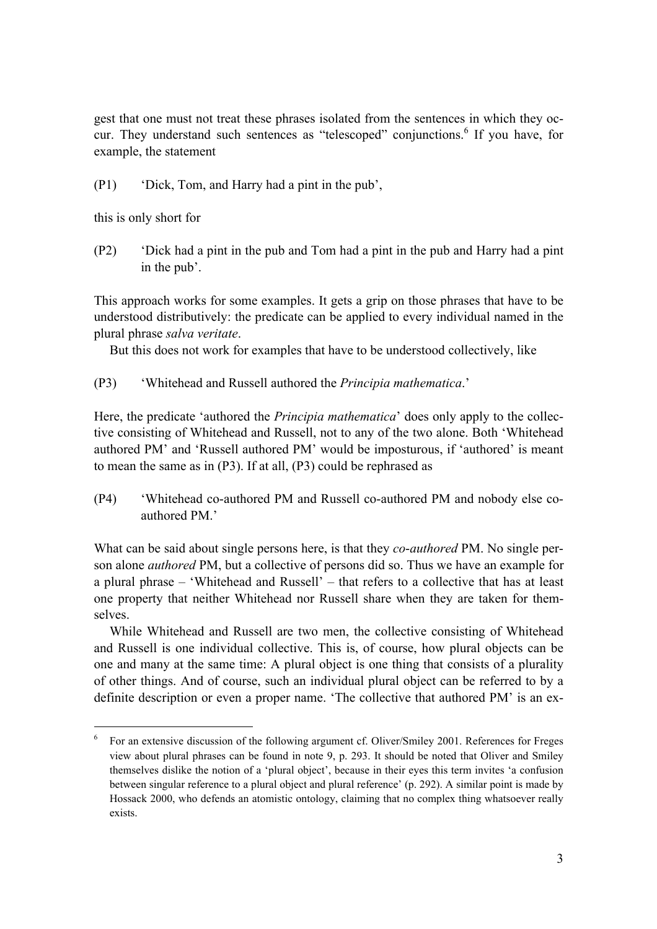gest that one must not treat these phrases isolated from the sentences in which they occur. They understand such sentences as "telescoped" conjunctions.  $6$  If you have, for example, the statement

 $(P1)$  <sup>\*</sup>Dick, Tom, and Harry had a pint in the pub<sup>2</sup>,

this is only short for

 $\overline{a}$ 

(P2) <sup>t</sup>Dick had a pint in the pub and Tom had a pint in the pub and Harry had a pint in the pub'.

This approach works for some examples. It gets a grip on those phrases that have to be understood distributively: the predicate can be applied to every individual named in the plural phrase *salva veritate*.

But this does not work for examples that have to be understood collectively, like

(P3) <sup>\*</sup>Whitehead and Russell authored the *Principia mathematica*.

Here, the predicate 'authored the *Principia mathematica*' does only apply to the collective consisting of Whitehead and Russell, not to any of the two alone. Both 'Whitehead authored PM<sup>3</sup> and 'Russell authored PM<sup>3</sup> would be imposturous, if 'authored' is meant to mean the same as in (P3). If at all, (P3) could be rephrased as

(P4) ëWhitehead co-authored PM and Russell co-authored PM and nobody else coauthored PM.'

What can be said about single persons here, is that they *co*-*authored* PM. No single person alone *authored* PM, but a collective of persons did so. Thus we have an example for a plural phrase – 'Whitehead and Russell' – that refers to a collective that has at least one property that neither Whitehead nor Russell share when they are taken for themselves.

While Whitehead and Russell are two men, the collective consisting of Whitehead and Russell is one individual collective. This is, of course, how plural objects can be one and many at the same time: A plural object is one thing that consists of a plurality of other things. And of course, such an individual plural object can be referred to by a definite description or even a proper name. 'The collective that authored PM' is an ex-

<sup>6</sup> For an extensive discussion of the following argument cf. Oliver/Smiley 2001. References for Freges view about plural phrases can be found in note 9, p. 293. It should be noted that Oliver and Smiley themselves dislike the notion of a 'plural object', because in their eyes this term invites 'a confusion between singular reference to a plural object and plural reference' (p. 292). A similar point is made by Hossack 2000, who defends an atomistic ontology, claiming that no complex thing whatsoever really exists.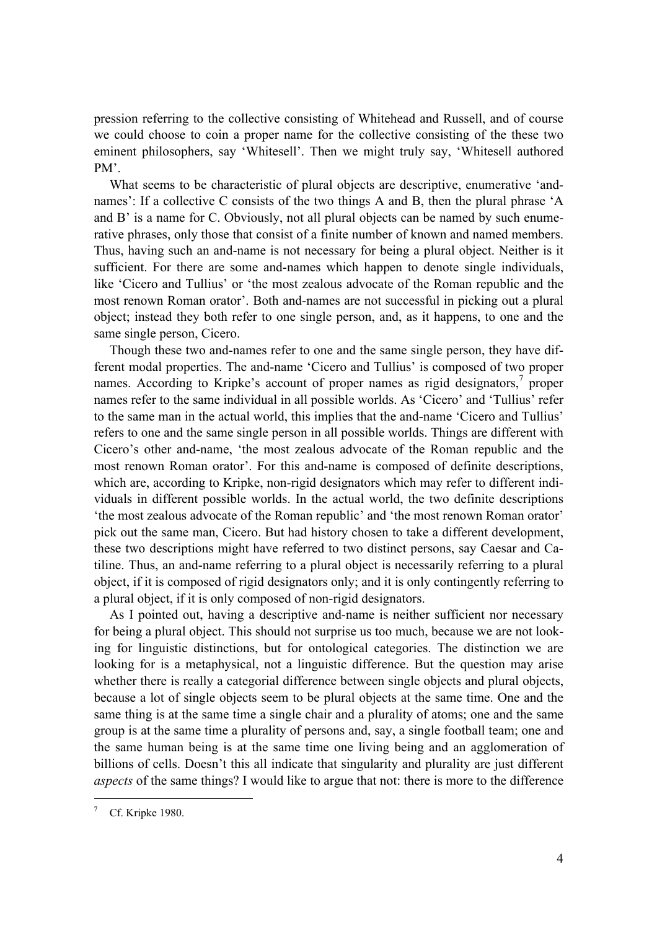pression referring to the collective consisting of Whitehead and Russell, and of course we could choose to coin a proper name for the collective consisting of the these two eminent philosophers, say 'Whitesell'. Then we might truly say, 'Whitesell authored  $PM'$ 

What seems to be characteristic of plural objects are descriptive, enumerative 'andnames': If a collective C consists of the two things A and B, then the plural phrase  $A$ and  $B'$  is a name for C. Obviously, not all plural objects can be named by such enumerative phrases, only those that consist of a finite number of known and named members. Thus, having such an and-name is not necessary for being a plural object. Neither is it sufficient. For there are some and-names which happen to denote single individuals, like 'Cicero and Tullius' or 'the most zealous advocate of the Roman republic and the most renown Roman orator'. Both and-names are not successful in picking out a plural object; instead they both refer to one single person, and, as it happens, to one and the same single person, Cicero.

Though these two and-names refer to one and the same single person, they have different modal properties. The and-name 'Cicero and Tullius' is composed of two proper names. According to Kripke's account of proper names as rigid designators, $\frac{7}{1}$  proper names refer to the same individual in all possible worlds. As 'Cicero' and 'Tullius' refer to the same man in the actual world, this implies that the and-name 'Cicero and Tullius' refers to one and the same single person in all possible worlds. Things are different with Cicero's other and-name, 'the most zealous advocate of the Roman republic and the most renown Roman orator'. For this and-name is composed of definite descriptions, which are, according to Kripke, non-rigid designators which may refer to different individuals in different possible worlds. In the actual world, the two definite descriptions 'the most zealous advocate of the Roman republic' and 'the most renown Roman orator' pick out the same man, Cicero. But had history chosen to take a different development, these two descriptions might have referred to two distinct persons, say Caesar and Catiline. Thus, an and-name referring to a plural object is necessarily referring to a plural object, if it is composed of rigid designators only; and it is only contingently referring to a plural object, if it is only composed of non-rigid designators.

As I pointed out, having a descriptive and-name is neither sufficient nor necessary for being a plural object. This should not surprise us too much, because we are not looking for linguistic distinctions, but for ontological categories. The distinction we are looking for is a metaphysical, not a linguistic difference. But the question may arise whether there is really a categorial difference between single objects and plural objects, because a lot of single objects seem to be plural objects at the same time. One and the same thing is at the same time a single chair and a plurality of atoms; one and the same group is at the same time a plurality of persons and, say, a single football team; one and the same human being is at the same time one living being and an agglomeration of billions of cells. Doesn't this all indicate that singularity and plurality are just different *aspects* of the same things? I would like to argue that not: there is more to the difference

<sup>7</sup> Cf. Kripke 1980.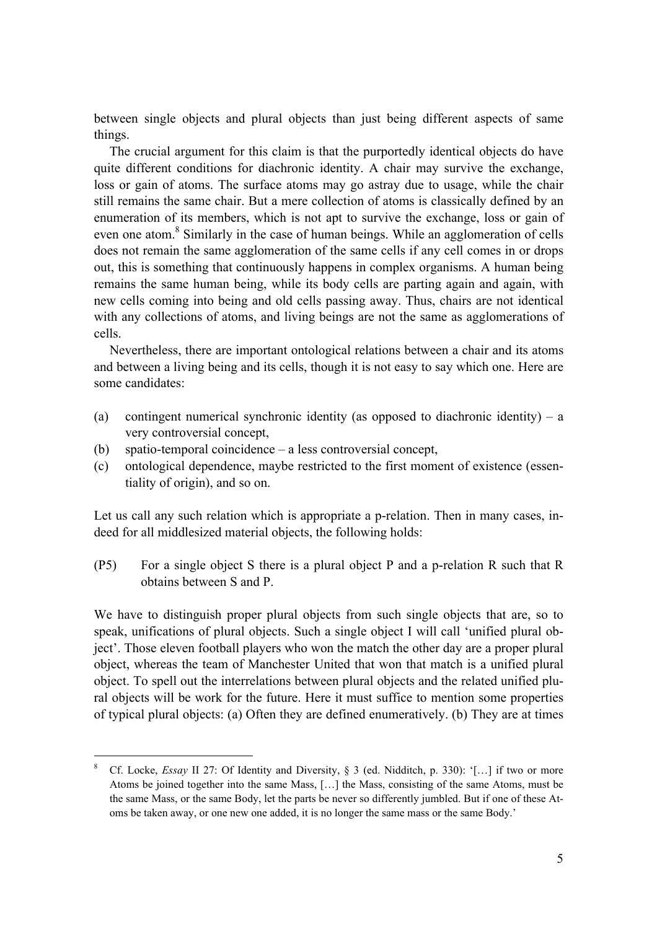between single objects and plural objects than just being different aspects of same things.

The crucial argument for this claim is that the purportedly identical objects do have quite different conditions for diachronic identity. A chair may survive the exchange, loss or gain of atoms. The surface atoms may go astray due to usage, while the chair still remains the same chair. But a mere collection of atoms is classically defined by an enumeration of its members, which is not apt to survive the exchange, loss or gain of even one atom.<sup>8</sup> Similarly in the case of human beings. While an agglomeration of cells does not remain the same agglomeration of the same cells if any cell comes in or drops out, this is something that continuously happens in complex organisms. A human being remains the same human being, while its body cells are parting again and again, with new cells coming into being and old cells passing away. Thus, chairs are not identical with any collections of atoms, and living beings are not the same as agglomerations of cells.

Nevertheless, there are important ontological relations between a chair and its atoms and between a living being and its cells, though it is not easy to say which one. Here are some candidates:

- (a) contingent numerical synchronic identity (as opposed to diachronic identity) a very controversial concept,
- (b) spatio-temporal coincidence  $-\alpha$  less controversial concept,

 $\overline{a}$ 

(c) ontological dependence, maybe restricted to the first moment of existence (essentiality of origin), and so on.

Let us call any such relation which is appropriate a p-relation. Then in many cases, indeed for all middlesized material objects, the following holds:

(P5) For a single object S there is a plural object P and a p-relation R such that R obtains between S and P.

We have to distinguish proper plural objects from such single objects that are, so to speak, unifications of plural objects. Such a single object I will call 'unified plural object'. Those eleven football players who won the match the other day are a proper plural object, whereas the team of Manchester United that won that match is a unified plural object. To spell out the interrelations between plural objects and the related unified plural objects will be work for the future. Here it must suffice to mention some properties of typical plural objects: (a) Often they are defined enumeratively. (b) They are at times

<sup>8</sup> Cf. Locke, *Essay* II 27: Of Identity and Diversity,  $\S$  3 (ed. Nidditch, p. 330): '[...] if two or more Atoms be joined together into the same Mass, [...] the Mass, consisting of the same Atoms, must be the same Mass, or the same Body, let the parts be never so differently jumbled. But if one of these Atoms be taken away, or one new one added, it is no longer the same mass or the same Body.'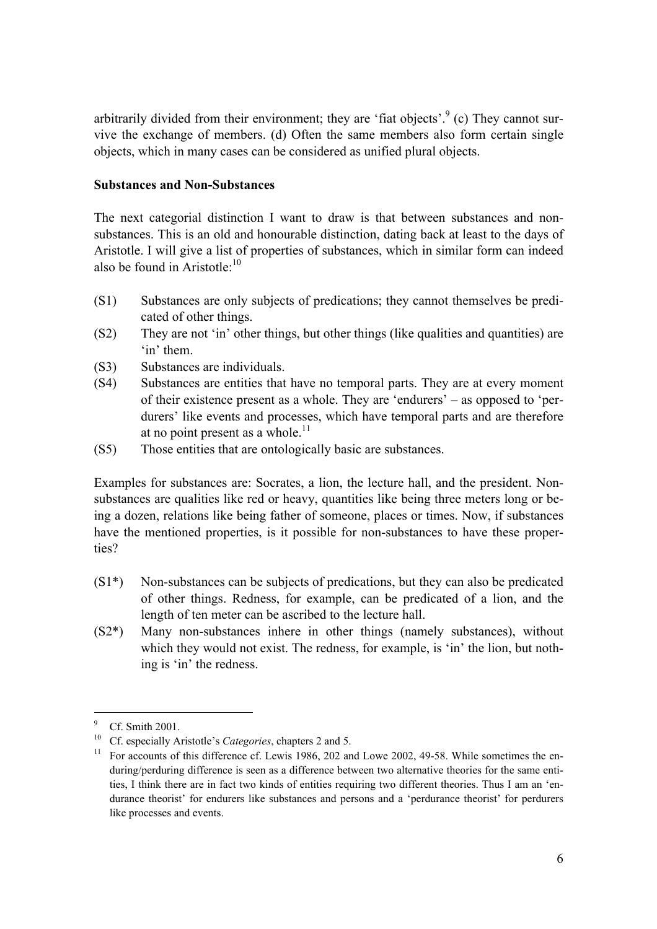arbitrarily divided from their environment; they are 'fiat objects'.<sup>9</sup> (c) They cannot survive the exchange of members. (d) Often the same members also form certain single objects, which in many cases can be considered as unified plural objects.

# **Substances and Non-Substances**

The next categorial distinction I want to draw is that between substances and nonsubstances. This is an old and honourable distinction, dating back at least to the days of Aristotle. I will give a list of properties of substances, which in similar form can indeed also be found in Aristotle: $10$ 

- (S1) Substances are only subjects of predications; they cannot themselves be predicated of other things.
- $(S2)$  They are not 'in' other things, but other things (like qualities and quantities) are  $\sin^{\prime}$  them.
- (S3) Substances are individuals.
- (S4) Substances are entities that have no temporal parts. They are at every moment of their existence present as a whole. They are 'endurers'  $-$  as opposed to 'perdurers' like events and processes, which have temporal parts and are therefore at no point present as a whole.<sup>11</sup>
- (S5) Those entities that are ontologically basic are substances.

Examples for substances are: Socrates, a lion, the lecture hall, and the president. Nonsubstances are qualities like red or heavy, quantities like being three meters long or being a dozen, relations like being father of someone, places or times. Now, if substances have the mentioned properties, is it possible for non-substances to have these properties?

- (S1\*) Non-substances can be subjects of predications, but they can also be predicated of other things. Redness, for example, can be predicated of a lion, and the length of ten meter can be ascribed to the lecture hall.
- (S2\*) Many non-substances inhere in other things (namely substances), without which they would not exist. The redness, for example, is 'in' the lion, but nothing is 'in' the redness.

<sup>9</sup> Cf. Smith 2001.

<sup>&</sup>lt;sup>10</sup> Cf. especially Aristotle's *Categories*, chapters 2 and 5.<br><sup>11</sup> For accounts of this difference cf. Lewis 1986, 202 and Lowe 2002, 49-58. While sometimes the enduring/perduring difference is seen as a difference between two alternative theories for the same entities, I think there are in fact two kinds of entities requiring two different theories. Thus I am an 'endurance theorist<sup>†</sup> for endurers like substances and persons and a 'perdurance theorist<sup>†</sup> for perdurers like processes and events.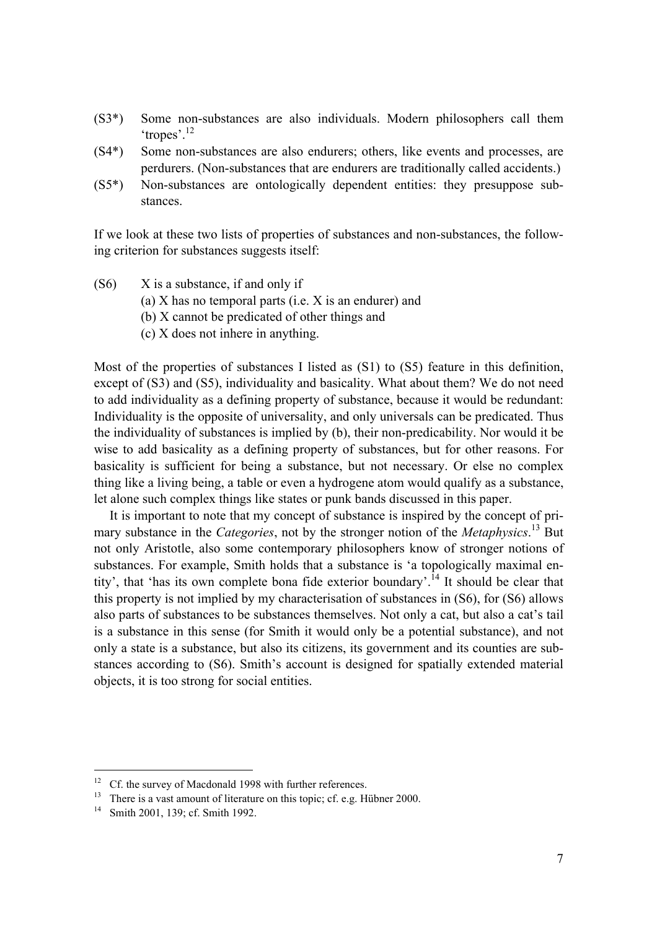- (S3\*) Some non-substances are also individuals. Modern philosophers call them 'tropes'. $^{12}$
- (S4\*) Some non-substances are also endurers; others, like events and processes, are perdurers. (Non-substances that are endurers are traditionally called accidents.)
- (S5\*) Non-substances are ontologically dependent entities: they presuppose substances.

If we look at these two lists of properties of substances and non-substances, the following criterion for substances suggests itself:

- $(S6)$  X is a substance, if and only if
	- (a) X has no temporal parts (i.e. X is an endurer) and
	- (b) X cannot be predicated of other things and
	- (c) X does not inhere in anything.

Most of the properties of substances I listed as (S1) to (S5) feature in this definition, except of (S3) and (S5), individuality and basicality. What about them? We do not need to add individuality as a defining property of substance, because it would be redundant: Individuality is the opposite of universality, and only universals can be predicated. Thus the individuality of substances is implied by (b), their non-predicability. Nor would it be wise to add basicality as a defining property of substances, but for other reasons. For basicality is sufficient for being a substance, but not necessary. Or else no complex thing like a living being, a table or even a hydrogene atom would qualify as a substance, let alone such complex things like states or punk bands discussed in this paper.

It is important to note that my concept of substance is inspired by the concept of primary substance in the *Categories*, not by the stronger notion of the *Metaphysics*. 13 But not only Aristotle, also some contemporary philosophers know of stronger notions of substances. For example, Smith holds that a substance is 'a topologically maximal entity', that 'has its own complete bona fide exterior boundary'.<sup>14</sup> It should be clear that this property is not implied by my characterisation of substances in (S6), for (S6) allows also parts of substances to be substances themselves. Not only a cat, but also a cat's tail is a substance in this sense (for Smith it would only be a potential substance), and not only a state is a substance, but also its citizens, its government and its counties are substances according to (S6). Smith's account is designed for spatially extended material objects, it is too strong for social entities.

<sup>&</sup>lt;sup>12</sup> Cf. the survey of Macdonald 1998 with further references.

<sup>&</sup>lt;sup>13</sup> There is a vast amount of literature on this topic; cf. e.g. Hübner 2000.

Smith 2001, 139; cf. Smith 1992.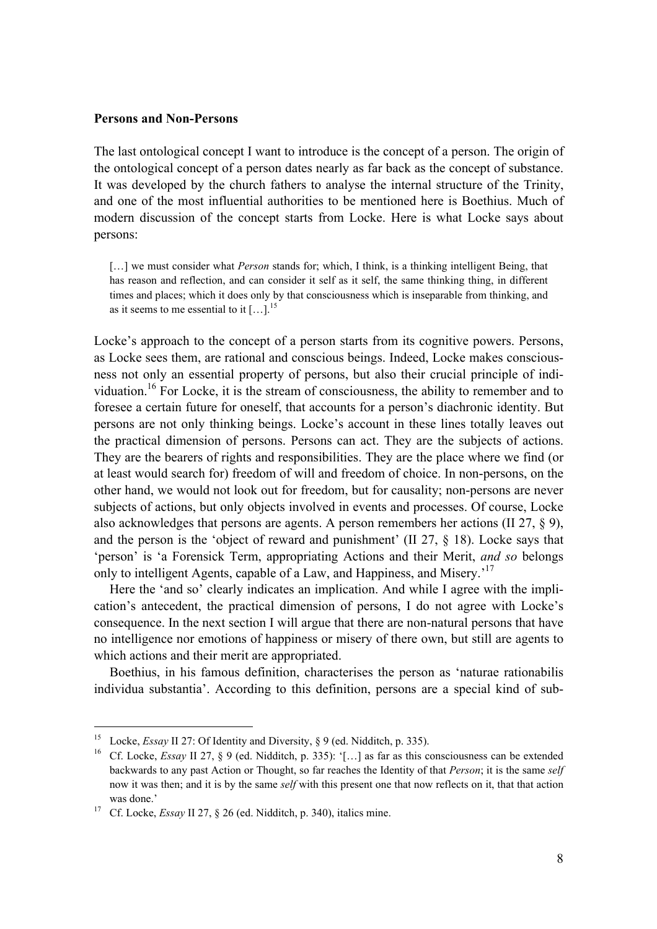#### **Persons and Non-Persons**

The last ontological concept I want to introduce is the concept of a person. The origin of the ontological concept of a person dates nearly as far back as the concept of substance. It was developed by the church fathers to analyse the internal structure of the Trinity, and one of the most influential authorities to be mentioned here is Boethius. Much of modern discussion of the concept starts from Locke. Here is what Locke says about persons:

[...] we must consider what *Person* stands for; which, I think, is a thinking intelligent Being, that has reason and reflection, and can consider it self as it self, the same thinking thing, in different times and places; which it does only by that consciousness which is inseparable from thinking, and as it seems to me essential to it  $[\dots]^{15}$ 

Locke's approach to the concept of a person starts from its cognitive powers. Persons, as Locke sees them, are rational and conscious beings. Indeed, Locke makes consciousness not only an essential property of persons, but also their crucial principle of individuation.<sup>16</sup> For Locke, it is the stream of consciousness, the ability to remember and to foresee a certain future for oneself, that accounts for a person's diachronic identity. But persons are not only thinking beings. Locke's account in these lines totally leaves out the practical dimension of persons. Persons can act. They are the subjects of actions. They are the bearers of rights and responsibilities. They are the place where we find (or at least would search for) freedom of will and freedom of choice. In non-persons, on the other hand, we would not look out for freedom, but for causality; non-persons are never subjects of actions, but only objects involved in events and processes. Of course, Locke also acknowledges that persons are agents. A person remembers her actions (II 27,  $\S$  9), and the person is the 'object of reward and punishment' (II 27,  $\S$  18). Locke says that ëpersoní is ëa Forensick Term, appropriating Actions and their Merit, *and so* belongs only to intelligent Agents, capable of a Law, and Happiness, and Misery.<sup>17</sup>

Here the 'and so' clearly indicates an implication. And while I agree with the implication's antecedent, the practical dimension of persons, I do not agree with Locke's consequence. In the next section I will argue that there are non-natural persons that have no intelligence nor emotions of happiness or misery of there own, but still are agents to which actions and their merit are appropriated.

Boethius, in his famous definition, characterises the person as ënaturae rationabilis individua substantia<sup>2</sup>. According to this definition, persons are a special kind of sub-

<sup>&</sup>lt;sup>15</sup> Locke, *Essay* II 27: Of Identity and Diversity, § 9 (ed. Nidditch, p. 335).<br><sup>16</sup> Cf. Locke, *Essay* II 27, § 9 (ed. Nidditch, p. 335): '[...] as far as this consciousness can be extended backwards to any past Action or Thought, so far reaches the Identity of that *Person*; it is the same *self* now it was then; and it is by the same *self* with this present one that now reflects on it, that that action was done.<sup>2</sup><br><sup>17</sup> Cf. Locke, *Essay* II 27, § 26 (ed. Nidditch, p. 340), italics mine.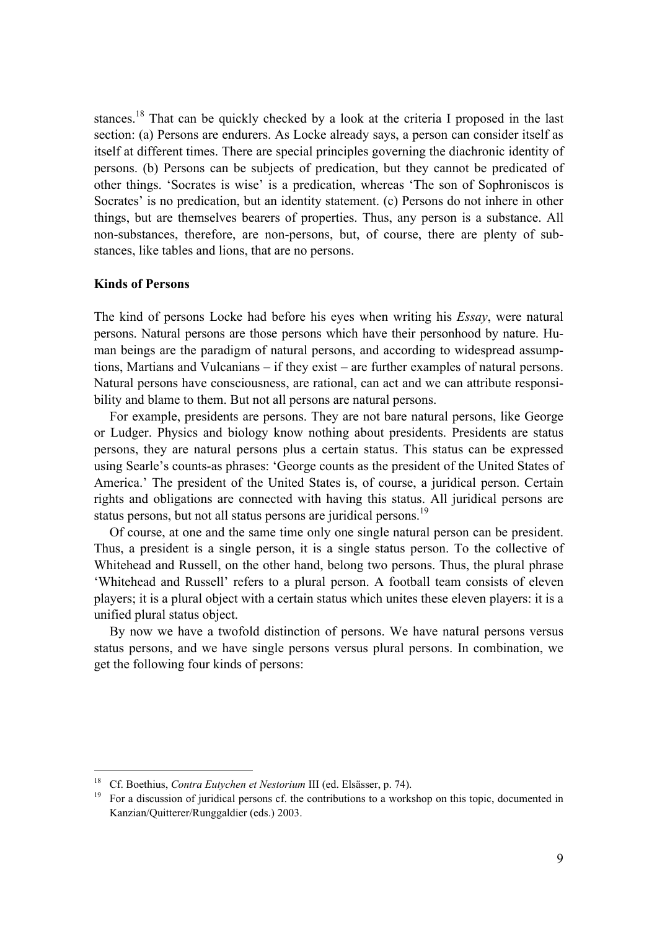stances.<sup>18</sup> That can be quickly checked by a look at the criteria I proposed in the last section: (a) Persons are endurers. As Locke already says, a person can consider itself as itself at different times. There are special principles governing the diachronic identity of persons. (b) Persons can be subjects of predication, but they cannot be predicated of other things. 'Socrates is wise' is a predication, whereas 'The son of Sophroniscos is Socrates<sup>'</sup> is no predication, but an identity statement. (c) Persons do not inhere in other things, but are themselves bearers of properties. Thus, any person is a substance. All non-substances, therefore, are non-persons, but, of course, there are plenty of substances, like tables and lions, that are no persons.

## **Kinds of Persons**

 $\overline{a}$ 

The kind of persons Locke had before his eyes when writing his *Essay*, were natural persons. Natural persons are those persons which have their personhood by nature. Human beings are the paradigm of natural persons, and according to widespread assumptions, Martians and Vulcanians  $-$  if they exist  $-$  are further examples of natural persons. Natural persons have consciousness, are rational, can act and we can attribute responsibility and blame to them. But not all persons are natural persons.

For example, presidents are persons. They are not bare natural persons, like George or Ludger. Physics and biology know nothing about presidents. Presidents are status persons, they are natural persons plus a certain status. This status can be expressed using Searle's counts-as phrases: 'George counts as the president of the United States of America.<sup>7</sup> The president of the United States is, of course, a juridical person. Certain rights and obligations are connected with having this status. All juridical persons are status persons, but not all status persons are juridical persons.<sup>19</sup>

Of course, at one and the same time only one single natural person can be president. Thus, a president is a single person, it is a single status person. To the collective of Whitehead and Russell, on the other hand, belong two persons. Thus, the plural phrase ëWhitehead and Russellí refers to a plural person. A football team consists of eleven players; it is a plural object with a certain status which unites these eleven players: it is a unified plural status object.

By now we have a twofold distinction of persons. We have natural persons versus status persons, and we have single persons versus plural persons. In combination, we get the following four kinds of persons:

<sup>&</sup>lt;sup>18</sup> Cf. Boethius, *Contra Eutychen et Nestorium* III (ed. Elsässer, p. 74).<br><sup>19</sup> For a discussion of juridical persons cf. the contributions to a workshop on this topic, documented in Kanzian/Quitterer/Runggaldier (eds.) 2003.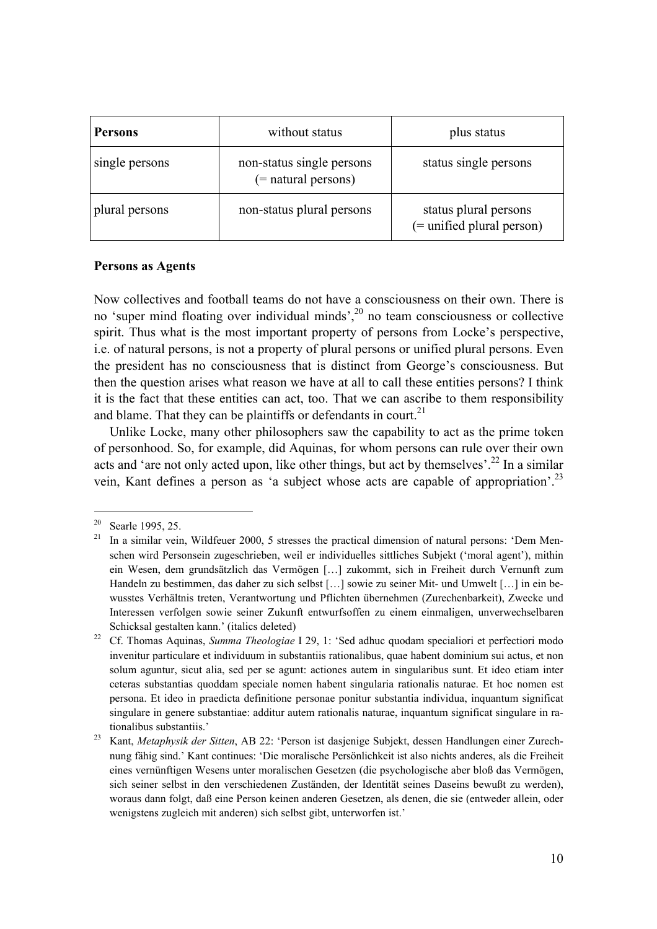| <b>Persons</b> | without status                                      | plus status                                              |
|----------------|-----------------------------------------------------|----------------------------------------------------------|
| single persons | non-status single persons<br>$($ = natural persons) | status single persons                                    |
| plural persons | non-status plural persons                           | status plural persons<br>$($ = unified plural person $)$ |

## **Persons as Agents**

Now collectives and football teams do not have a consciousness on their own. There is no 'super mind floating over individual minds', $^{20}$  no team consciousness or collective spirit. Thus what is the most important property of persons from Locke's perspective, i.e. of natural persons, is not a property of plural persons or unified plural persons. Even the president has no consciousness that is distinct from George's consciousness. But then the question arises what reason we have at all to call these entities persons? I think it is the fact that these entities can act, too. That we can ascribe to them responsibility and blame. That they can be plaintiffs or defendants in court.<sup>21</sup>

Unlike Locke, many other philosophers saw the capability to act as the prime token of personhood. So, for example, did Aquinas, for whom persons can rule over their own acts and 'are not only acted upon, like other things, but act by themselves'.<sup>22</sup> In a similar vein, Kant defines a person as 'a subject whose acts are capable of appropriation'.<sup>23</sup>

<sup>&</sup>lt;sup>20</sup> Searle 1995, 25.

<sup>&</sup>lt;sup>21</sup> In a similar vein, Wildfeuer 2000, 5 stresses the practical dimension of natural persons: 'Dem Menschen wird Personsein zugeschrieben, weil er individuelles sittliches Subjekt (ëmoral agentí), mithin ein Wesen, dem grundsätzlich das Vermögen [...] zukommt, sich in Freiheit durch Vernunft zum Handeln zu bestimmen, das daher zu sich selbst [...] sowie zu seiner Mit- und Umwelt [...] in ein bewusstes Verhältnis treten, Verantwortung und Pflichten übernehmen (Zurechenbarkeit), Zwecke und Interessen verfolgen sowie seiner Zukunft entwurfsoffen zu einem einmaligen, unverwechselbaren

Schicksal gestalten kann.<sup>'</sup> (italics deleted)<br><sup>22</sup> Cf. Thomas Aquinas, *Summa Theologiae* I 29, 1: 'Sed adhuc quodam specialiori et perfectiori modo invenitur particulare et individuum in substantiis rationalibus, quae habent dominium sui actus, et non solum aguntur, sicut alia, sed per se agunt: actiones autem in singularibus sunt. Et ideo etiam inter ceteras substantias quoddam speciale nomen habent singularia rationalis naturae. Et hoc nomen est persona. Et ideo in praedicta definitione personae ponitur substantia individua, inquantum significat singulare in genere substantiae: additur autem rationalis naturae, inquantum significat singulare in rationalibus substantiis.<sup>7</sup><br><sup>23</sup> Kant, *Metaphysik der Sitten*, AB 22: 'Person ist dasjenige Subjekt, dessen Handlungen einer Zurech-

nung fähig sind.<sup>7</sup> Kant continues: 'Die moralische Persönlichkeit ist also nichts anderes, als die Freiheit eines vernünftigen Wesens unter moralischen Gesetzen (die psychologische aber bloß das Vermögen, sich seiner selbst in den verschiedenen Zuständen, der Identität seines Daseins bewußt zu werden), woraus dann folgt, dafl eine Person keinen anderen Gesetzen, als denen, die sie (entweder allein, oder wenigstens zugleich mit anderen) sich selbst gibt, unterworfen ist.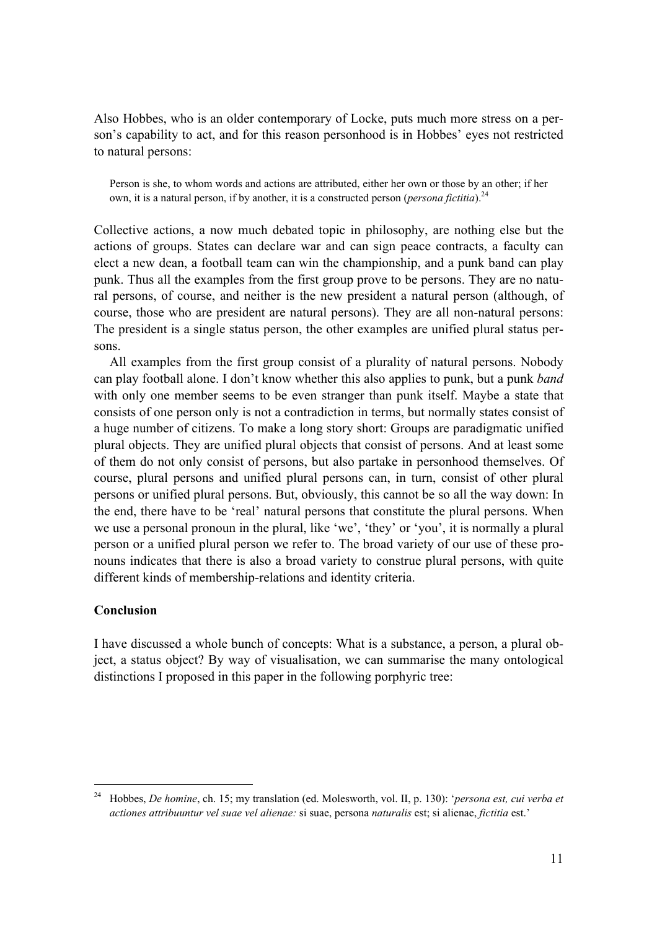Also Hobbes, who is an older contemporary of Locke, puts much more stress on a person's capability to act, and for this reason personhood is in Hobbes' eyes not restricted to natural persons:

Person is she, to whom words and actions are attributed, either her own or those by an other; if her own, it is a natural person, if by another, it is a constructed person (*persona fictitia*).<sup>24</sup>

Collective actions, a now much debated topic in philosophy, are nothing else but the actions of groups. States can declare war and can sign peace contracts, a faculty can elect a new dean, a football team can win the championship, and a punk band can play punk. Thus all the examples from the first group prove to be persons. They are no natural persons, of course, and neither is the new president a natural person (although, of course, those who are president are natural persons). They are all non-natural persons: The president is a single status person, the other examples are unified plural status persons.

All examples from the first group consist of a plurality of natural persons. Nobody can play football alone. I don't know whether this also applies to punk, but a punk *band* with only one member seems to be even stranger than punk itself. Maybe a state that consists of one person only is not a contradiction in terms, but normally states consist of a huge number of citizens. To make a long story short: Groups are paradigmatic unified plural objects. They are unified plural objects that consist of persons. And at least some of them do not only consist of persons, but also partake in personhood themselves. Of course, plural persons and unified plural persons can, in turn, consist of other plural persons or unified plural persons. But, obviously, this cannot be so all the way down: In the end, there have to be 'real' natural persons that constitute the plural persons. When we use a personal pronoun in the plural, like 'we', 'they' or 'you', it is normally a plural person or a unified plural person we refer to. The broad variety of our use of these pronouns indicates that there is also a broad variety to construe plural persons, with quite different kinds of membership-relations and identity criteria.

## **Conclusion**

 $\overline{a}$ 

I have discussed a whole bunch of concepts: What is a substance, a person, a plural object, a status object? By way of visualisation, we can summarise the many ontological distinctions I proposed in this paper in the following porphyric tree:

<sup>24</sup> Hobbes, *De homine*, ch. 15; my translation (ed. Molesworth, vol. II, p. 130): ë*persona est, cui verba et actiones attribuuntur vel suae vel alienae:* si suae, persona *naturalis* est; si alienae, *fictitia* est.<sup>*'*</sup>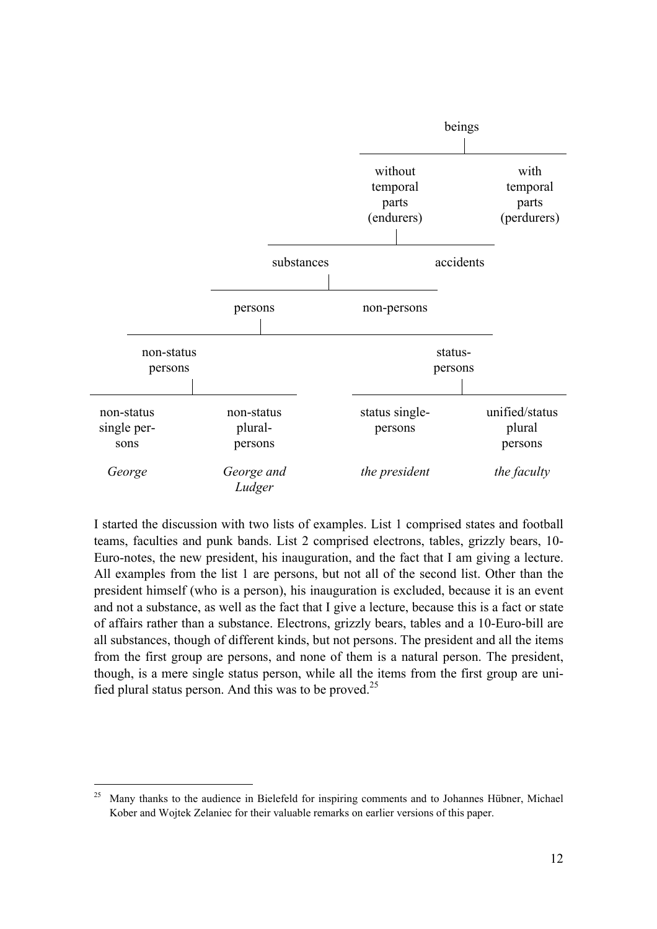

I started the discussion with two lists of examples. List 1 comprised states and football teams, faculties and punk bands. List 2 comprised electrons, tables, grizzly bears, 10- Euro-notes, the new president, his inauguration, and the fact that I am giving a lecture. All examples from the list 1 are persons, but not all of the second list. Other than the president himself (who is a person), his inauguration is excluded, because it is an event and not a substance, as well as the fact that I give a lecture, because this is a fact or state of affairs rather than a substance. Electrons, grizzly bears, tables and a 10-Euro-bill are all substances, though of different kinds, but not persons. The president and all the items from the first group are persons, and none of them is a natural person. The president, though, is a mere single status person, while all the items from the first group are unified plural status person. And this was to be proved.<sup>25</sup>

 $25$  Many thanks to the audience in Bielefeld for inspiring comments and to Johannes Hübner, Michael Kober and Wojtek Zelaniec for their valuable remarks on earlier versions of this paper.